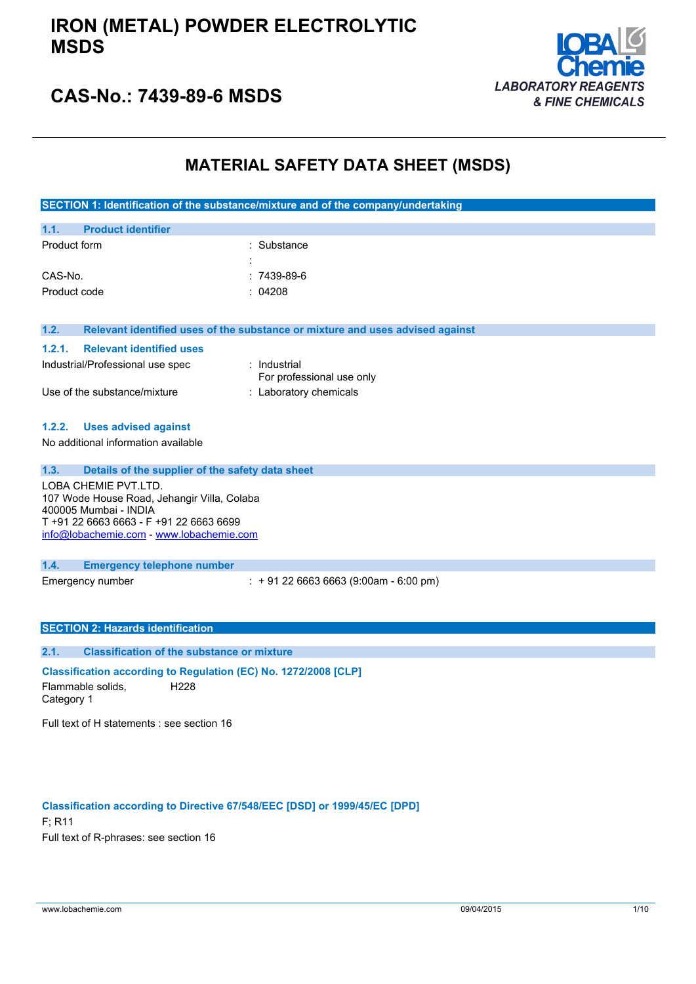

## **CAS-No.: 7439-89-6 MSDS**

## **MATERIAL SAFETY DATA SHEET (MSDS)**

| SECTION 1: Identification of the substance/mixture and of the company/undertaking |
|-----------------------------------------------------------------------------------|
|-----------------------------------------------------------------------------------|

| 1.1.         | <b>Product identifier</b> |   |              |
|--------------|---------------------------|---|--------------|
| Product form |                           |   | : Substance  |
|              |                           | ٠ |              |
| CAS-No.      |                           |   | $:7439-89-6$ |
| Product code |                           |   | : 04208      |

**1.2. Relevant identified uses of the substance or mixture and uses advised against**

#### **1.2.1. Relevant identified uses**

| Industrial/Professional use spec | : Industrial<br>For professional use only |
|----------------------------------|-------------------------------------------|
| Use of the substance/mixture     | : Laboratory chemicals                    |

#### **1.2.2. Uses advised against**

No additional information available

**1.3. Details of the supplier of the safety data sheet** LOBA CHEMIE PVT.LTD. 107 Wode House Road, Jehangir Villa, Colaba 400005 Mumbai - INDIA T +91 22 6663 6663 - F +91 22 6663 6699 [info@lobachemie.com](mailto:info@lobachemie.com) - <www.lobachemie.com>

#### **1.4. Emergency telephone number**

Emergency number : + 91 22 6663 6663 (9:00am - 6:00 pm)

#### **SECTION 2: Hazards identification**

**2.1. Classification of the substance or mixture**

**Classification according to Regulation (EC) No. 1272/2008 [CLP]** Flammable solids, Category 1 H228

Full text of H statements : see section 16

#### **Classification according to Directive 67/548/EEC [DSD] or 1999/45/EC [DPD]**

F; R11 Full text of R-phrases: see section 16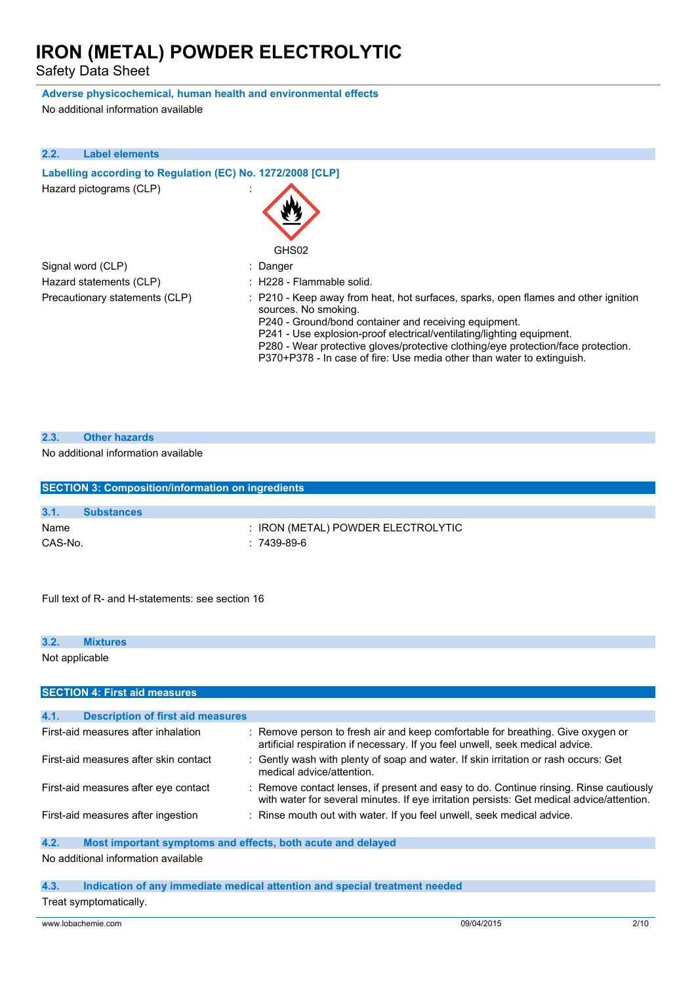Safety Data Sheet

#### **Adverse physicochemical, human health and environmental effects**

No additional information available

| 2.2. | <b>Label elements</b>                                      |                                                                                                                                                                                                                                                                                                                                                                                                             |
|------|------------------------------------------------------------|-------------------------------------------------------------------------------------------------------------------------------------------------------------------------------------------------------------------------------------------------------------------------------------------------------------------------------------------------------------------------------------------------------------|
|      | Labelling according to Regulation (EC) No. 1272/2008 [CLP] |                                                                                                                                                                                                                                                                                                                                                                                                             |
|      | Hazard pictograms (CLP)                                    | GHS02                                                                                                                                                                                                                                                                                                                                                                                                       |
|      | Signal word (CLP)                                          | : Danger                                                                                                                                                                                                                                                                                                                                                                                                    |
|      | Hazard statements (CLP)                                    | : H228 - Flammable solid.                                                                                                                                                                                                                                                                                                                                                                                   |
|      | Precautionary statements (CLP)                             | : P210 - Keep away from heat, hot surfaces, sparks, open flames and other ignition<br>sources. No smoking.<br>P240 - Ground/bond container and receiving equipment.<br>P241 - Use explosion-proof electrical/ventilating/lighting equipment.<br>P280 - Wear protective gloves/protective clothing/eye protection/face protection.<br>P370+P378 - In case of fire: Use media other than water to extinguish. |

| 2.3. | <b>Other hazards</b> |
|------|----------------------|
|      |                      |

#### No additional information available

|         | <b>SECTION 3: Composition/information on ingredients</b> |  |  |
|---------|----------------------------------------------------------|--|--|
|         |                                                          |  |  |
| 3.1.    | <b>Substances</b>                                        |  |  |
| Name    | : IRON (METAL) POWDER ELECTROLYTIC                       |  |  |
| CAS-No. | $: 7439-89-6$                                            |  |  |

Full text of R- and H-statements: see section 16

| 3.2.           | <b>Mixtures</b>                                             |                                                                                                                                                                                     |
|----------------|-------------------------------------------------------------|-------------------------------------------------------------------------------------------------------------------------------------------------------------------------------------|
| Not applicable |                                                             |                                                                                                                                                                                     |
|                | <b>SECTION 4: First aid measures</b>                        |                                                                                                                                                                                     |
|                |                                                             |                                                                                                                                                                                     |
| 4.1.           | <b>Description of first aid measures</b>                    |                                                                                                                                                                                     |
|                | First-aid measures after inhalation                         | : Remove person to fresh air and keep comfortable for breathing. Give oxygen or<br>artificial respiration if necessary. If you feel unwell, seek medical advice.                    |
|                | First-aid measures after skin contact                       | : Gently wash with plenty of soap and water. If skin irritation or rash occurs: Get<br>medical advice/attention.                                                                    |
|                | First-aid measures after eye contact                        | : Remove contact lenses, if present and easy to do. Continue rinsing. Rinse cautiously<br>with water for several minutes. If eye irritation persists: Get medical advice/attention. |
|                | First-aid measures after ingestion                          | : Rinse mouth out with water. If you feel unwell, seek medical advice.                                                                                                              |
| 4.2.           | Most important symptoms and effects, both acute and delayed |                                                                                                                                                                                     |

#### No additional information available

#### **4.3. Indication of any immediate medical attention and special treatment needed** Treat symptomatically.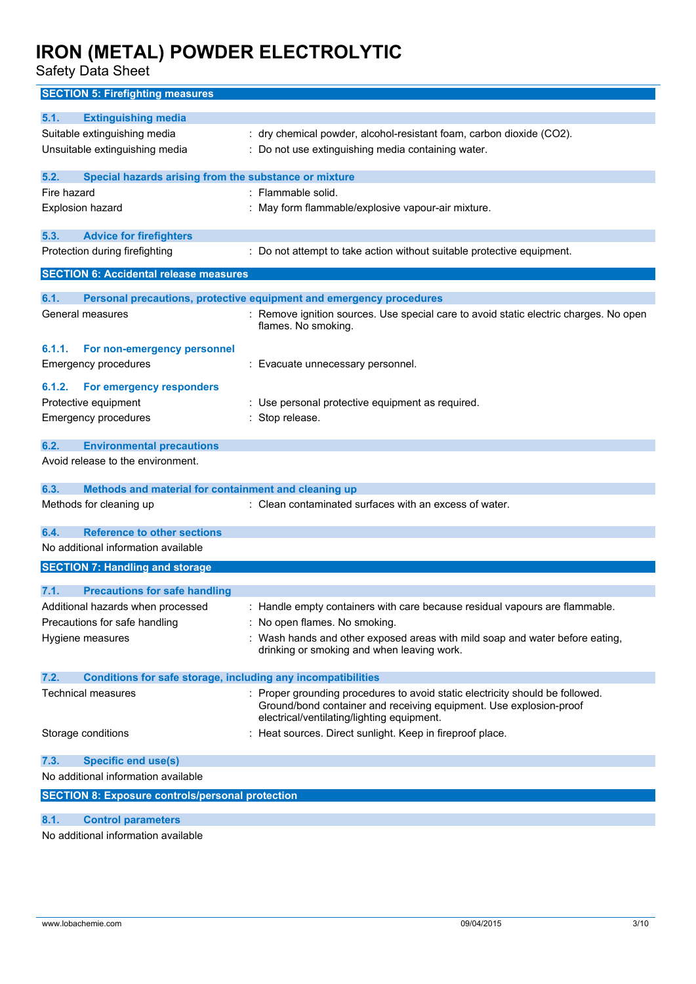Safety Data Sheet

### **SECTION 5: Firefighting measures 5.1. Extinguishing media** Suitable extinguishing media : dry chemical powder, alcohol-resistant foam, carbon dioxide (CO2). Unsuitable extinguishing media : Do not use extinguishing media containing water. **5.2. Special hazards arising from the substance or mixture** Fire hazard **in the solution of the solution of the solution of the solution of the solution of the solution of the solution of the solution of the solution of the solution of the solution of the solution of the solution o** Explosion hazard **in the state of the Capacita** : May form flammable/explosive vapour-air mixture. **5.3. Advice for firefighters** Protection during firefighting : Do not attempt to take action without suitable protective equipment. **SECTION 6: Accidental release measures 6.1. Personal precautions, protective equipment and emergency procedures** General measures **in the state of the state of the state of the state of the state of the state of the state of t** flames. No smoking. **6.1.1. For non-emergency personnel** Emergency procedures : Evacuate unnecessary personnel. **6.1.2. For emergency responders** Protective equipment : Use personal protective equipment as required. Emergency procedures in the state of the Stop release. **6.2. Environmental precautions** Avoid release to the environment. **6.3. Methods and material for containment and cleaning up** Methods for cleaning up : Clean contaminated surfaces with an excess of water. **6.4. Reference to other sections** No additional information available **SECTION 7: Handling and storage 7.1. Precautions for safe handling** Additional hazards when processed : Handle empty containers with care because residual vapours are flammable. Precautions for safe handling : No open flames. No smoking. Hygiene measures states of the state of the Wash hands and other exposed areas with mild soap and water before eating. drinking or smoking and when leaving work. **7.2. Conditions for safe storage, including any incompatibilities** Technical measures **interpretational intervals** Proper grounding procedures to avoid static electricity should be followed. Ground/bond container and receiving equipment. Use explosion-proof electrical/ventilating/lighting equipment. Storage conditions : Heat sources. Direct sunlight. Keep in fireproof place. **7.3. Specific end use(s)** No additional information available **SECTION 8: Exposure controls/personal protection 8.1. Control parameters**

No additional information available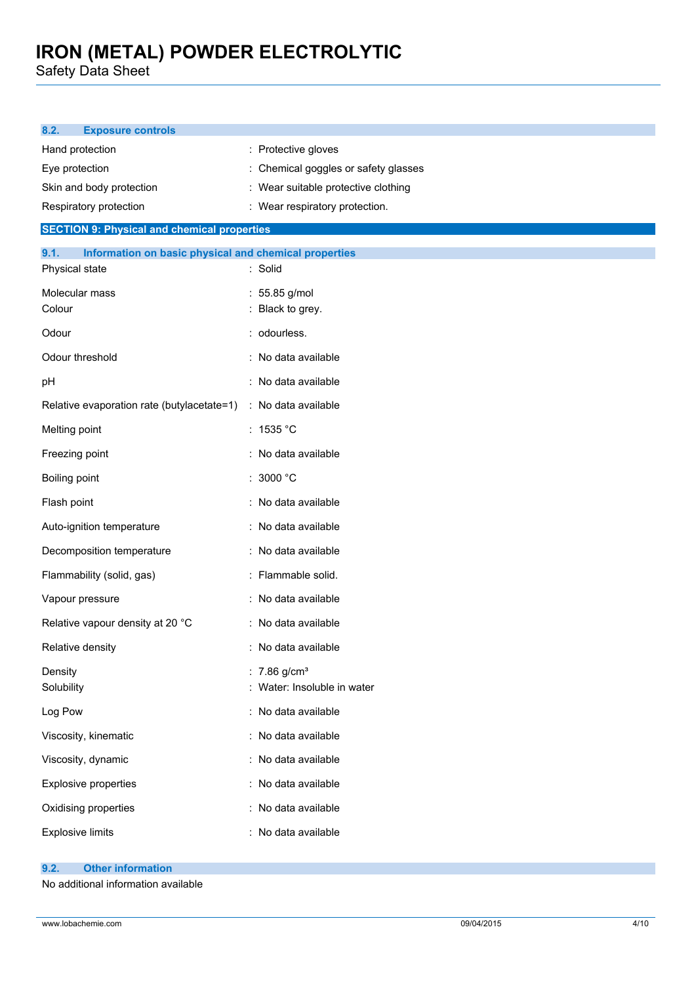Safety Data Sheet

| 8.2.<br><b>Exposure controls</b>                              |                                                           |
|---------------------------------------------------------------|-----------------------------------------------------------|
| Hand protection                                               | : Protective gloves                                       |
| Eye protection                                                | : Chemical goggles or safety glasses                      |
| Skin and body protection                                      | : Wear suitable protective clothing                       |
| Respiratory protection                                        | : Wear respiratory protection.                            |
| <b>SECTION 9: Physical and chemical properties</b>            |                                                           |
| Information on basic physical and chemical properties<br>9.1. |                                                           |
| Physical state                                                | : Solid                                                   |
| Molecular mass<br>Colour                                      | : 55.85 g/mol<br>Black to grey.                           |
| Odour                                                         | : odourless.                                              |
| Odour threshold                                               | : No data available                                       |
| pH                                                            | : No data available                                       |
| Relative evaporation rate (butylacetate=1)                    | : No data available                                       |
| Melting point                                                 | : 1535 °C                                                 |
| Freezing point                                                | : No data available                                       |
| Boiling point                                                 | : 3000 °C                                                 |
| Flash point                                                   | : No data available                                       |
| Auto-ignition temperature                                     | : No data available                                       |
| Decomposition temperature                                     | : No data available                                       |
| Flammability (solid, gas)                                     | : Flammable solid.                                        |
| Vapour pressure                                               | : No data available                                       |
| Relative vapour density at 20 °C                              | : No data available                                       |
| Relative density                                              | : No data available                                       |
| Density<br>Solubility                                         | : $7.86$ g/cm <sup>3</sup><br>: Water: Insoluble in water |
| Log Pow                                                       | : No data available                                       |
| Viscosity, kinematic                                          | : No data available                                       |
| Viscosity, dynamic                                            | : No data available                                       |
| Explosive properties                                          | : No data available                                       |
| Oxidising properties                                          | : No data available                                       |
| <b>Explosive limits</b>                                       | : No data available                                       |

#### **9.2. Other information**

No additional information available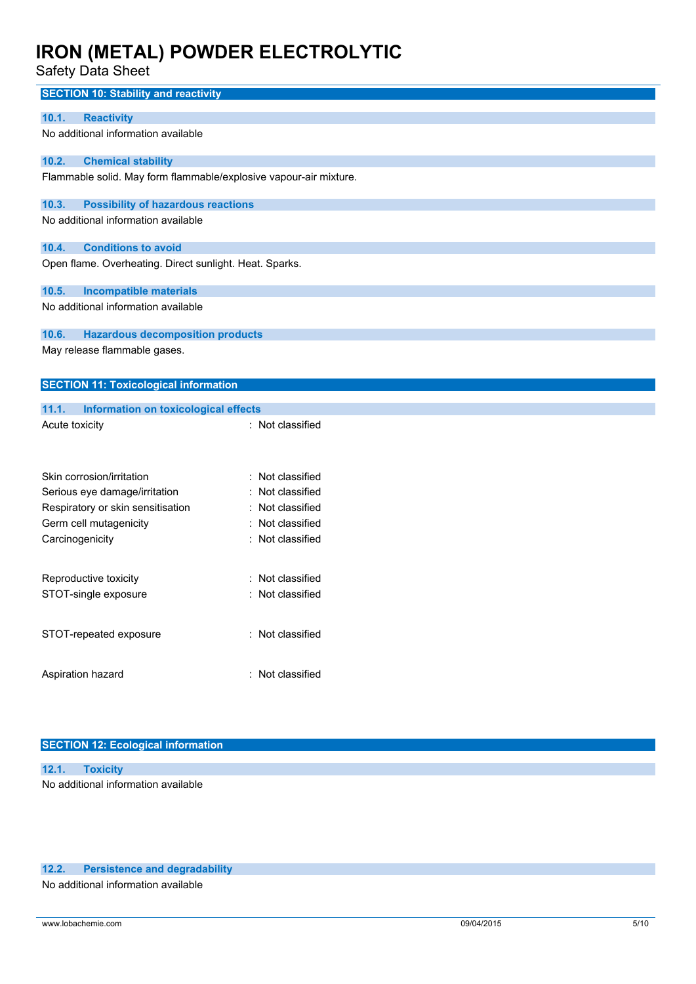Safety Data Sheet

| <b>SECTION 10: Stability and reactivity</b>                       |                     |
|-------------------------------------------------------------------|---------------------|
| <b>Reactivity</b><br>10.1.                                        |                     |
| No additional information available                               |                     |
| <b>Chemical stability</b><br>10.2.                                |                     |
| Flammable solid. May form flammable/explosive vapour-air mixture. |                     |
| 10.3.<br><b>Possibility of hazardous reactions</b>                |                     |
| No additional information available                               |                     |
| 10.4.<br><b>Conditions to avoid</b>                               |                     |
| Open flame. Overheating. Direct sunlight. Heat. Sparks.           |                     |
| 10.5.<br><b>Incompatible materials</b>                            |                     |
| No additional information available                               |                     |
| 10.6.<br><b>Hazardous decomposition products</b>                  |                     |
| May release flammable gases.                                      |                     |
| <b>SECTION 11: Toxicological information</b>                      |                     |
| 11.1.<br>Information on toxicological effects                     |                     |
| Acute toxicity                                                    | : Not classified    |
|                                                                   |                     |
| Skin corrosion/irritation                                         | : Not classified    |
| Serious eye damage/irritation                                     | Not classified      |
| Respiratory or skin sensitisation                                 | Not classified      |
| Germ cell mutagenicity                                            | Not classified<br>٠ |
| Carcinogenicity                                                   | : Not classified    |
| Reproductive toxicity                                             | Not classified      |
| STOT-single exposure                                              | Not classified      |
| STOT-repeated exposure                                            | : Not classified    |
| Aspiration hazard                                                 | : Not classified    |
|                                                                   |                     |

#### **SECTION 12: Ecological information**

| 12.1. Toxicity                      |  |
|-------------------------------------|--|
| No additional information available |  |

#### **12.2. Persistence and degradability**

No additional information available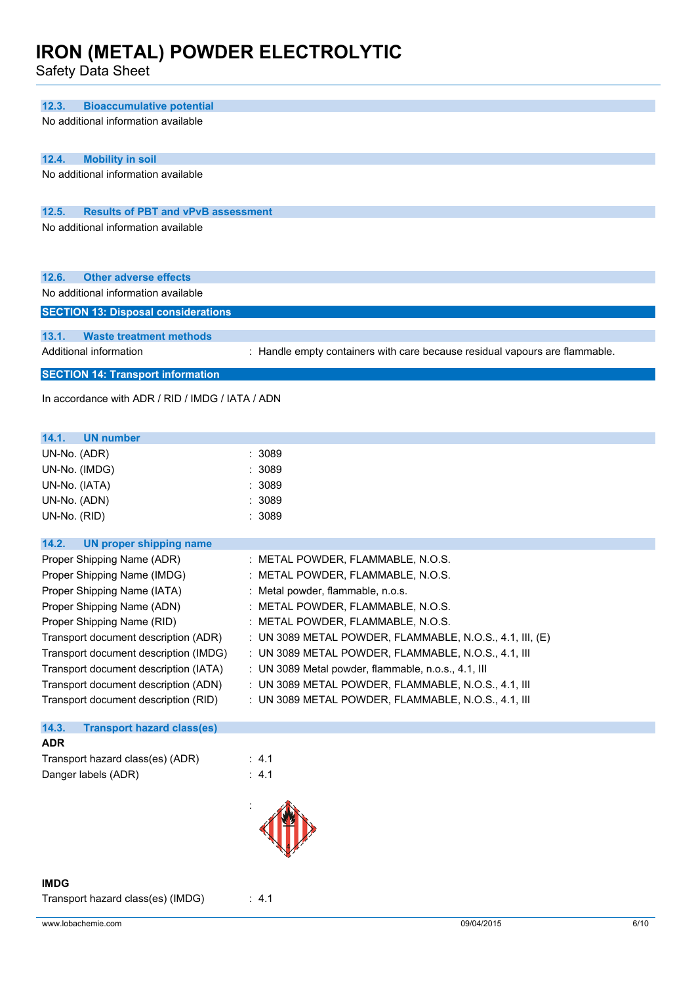Safety Data Sheet

| 12.3.<br><b>Bioaccumulative potential</b>          |                                                                             |
|----------------------------------------------------|-----------------------------------------------------------------------------|
| No additional information available                |                                                                             |
| 12.4.<br><b>Mobility in soil</b>                   |                                                                             |
| No additional information available                |                                                                             |
|                                                    |                                                                             |
|                                                    |                                                                             |
| <b>Results of PBT and vPvB assessment</b><br>12.5. |                                                                             |
| No additional information available                |                                                                             |
| 12.6.<br><b>Other adverse effects</b>              |                                                                             |
| No additional information available                |                                                                             |
| <b>SECTION 13: Disposal considerations</b>         |                                                                             |
| 13.1.<br><b>Waste treatment methods</b>            |                                                                             |
| Additional information                             | : Handle empty containers with care because residual vapours are flammable. |
|                                                    |                                                                             |
| <b>SECTION 14: Transport information</b>           |                                                                             |
| In accordance with ADR / RID / IMDG / IATA / ADN   |                                                                             |
| 14.1.<br><b>UN number</b>                          |                                                                             |
| UN-No. (ADR)                                       | : 3089                                                                      |
| UN-No. (IMDG)                                      | 3089                                                                        |
| UN-No. (IATA)                                      | :3089                                                                       |
| UN-No. (ADN)                                       | 3089                                                                        |
| UN-No. (RID)                                       | : 3089                                                                      |
| 14.2.<br><b>UN proper shipping name</b>            |                                                                             |
| Proper Shipping Name (ADR)                         | : METAL POWDER, FLAMMABLE, N.O.S.                                           |
|                                                    |                                                                             |
| Proper Shipping Name (IMDG)                        | : METAL POWDER, FLAMMABLE, N.O.S.                                           |
| Proper Shipping Name (IATA)                        | : Metal powder, flammable, n.o.s.                                           |
| Proper Shipping Name (ADN)                         | METAL POWDER, FLAMMABLE, N.O.S                                              |
| Proper Shipping Name (RID)                         | : METAL POWDER, FLAMMABLE, N.O.S.                                           |
| Transport document description (ADR)               | : UN 3089 METAL POWDER, FLAMMABLE, N.O.S., 4.1, III, (E)                    |
| Transport document description (IMDG)              | : UN 3089 METAL POWDER, FLAMMABLE, N.O.S., 4.1, III                         |
| Transport document description (IATA)              | : UN 3089 Metal powder, flammable, n.o.s., 4.1, III                         |
| Transport document description (ADN)               | : UN 3089 METAL POWDER, FLAMMABLE, N.O.S., 4.1, III                         |
| Transport document description (RID)               | : UN 3089 METAL POWDER, FLAMMABLE, N.O.S., 4.1, III                         |
| 14.3.<br><b>Transport hazard class(es)</b>         |                                                                             |
| <b>ADR</b>                                         |                                                                             |
| Transport hazard class(es) (ADR)                   | : 4.1                                                                       |
| Danger labels (ADR)                                | : $4.1$                                                                     |
|                                                    |                                                                             |
|                                                    |                                                                             |

Transport hazard class(es) (IMDG) : 4.1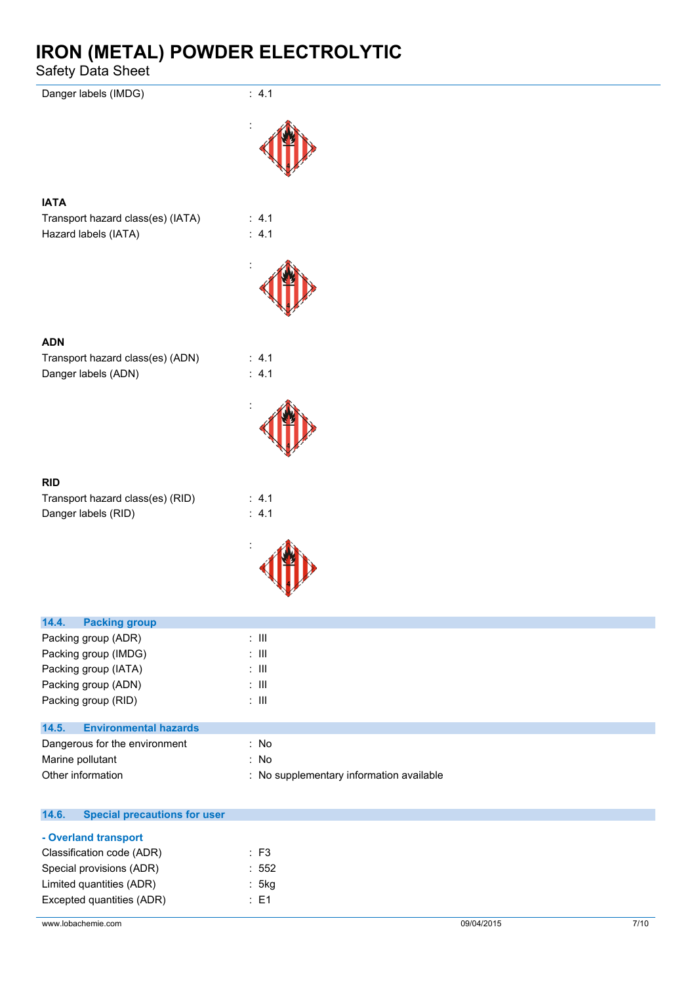Safety Data Sheet

| Danger labels (IMDG)                                      | : 4.1            |
|-----------------------------------------------------------|------------------|
|                                                           |                  |
| <b>IATA</b>                                               |                  |
| Transport hazard class(es) (IATA)<br>Hazard labels (IATA) | : 4.1<br>: 4.1   |
|                                                           |                  |
| <b>ADN</b>                                                |                  |
| Transport hazard class(es) (ADN)<br>Danger labels (ADN)   | : 4.1<br>: $4.1$ |
|                                                           |                  |
| <b>RID</b>                                                |                  |
| Transport hazard class(es) (RID)<br>Danger labels (RID)   | : 4.1<br>: 4.1   |
|                                                           |                  |
|                                                           |                  |
| 14.4.<br><b>Packing group</b>                             |                  |
| Packing group (ADR)                                       | $\div$ III       |

| Packing group (IMDG)                  | : III                                    |
|---------------------------------------|------------------------------------------|
| Packing group (IATA)                  | : III                                    |
| Packing group (ADN)                   | : III                                    |
| Packing group (RID)                   | : III                                    |
|                                       |                                          |
| <b>Environmental hazards</b><br>14.5. |                                          |
| Dangerous for the environment         | : No                                     |
| Marine pollutant                      | : No                                     |
| Other information                     | : No supplementary information available |
|                                       |                                          |

| 14.6. | <b>Special precautions for user</b> |                 |  |
|-------|-------------------------------------|-----------------|--|
|       | - Overland transport                |                 |  |
|       | Classification code (ADR)           | $\therefore$ F3 |  |
|       | Special provisions (ADR)            | :552            |  |
|       | Limited quantities (ADR)            | : 5kg           |  |
|       | Excepted quantities (ADR)           | : E1            |  |
|       |                                     |                 |  |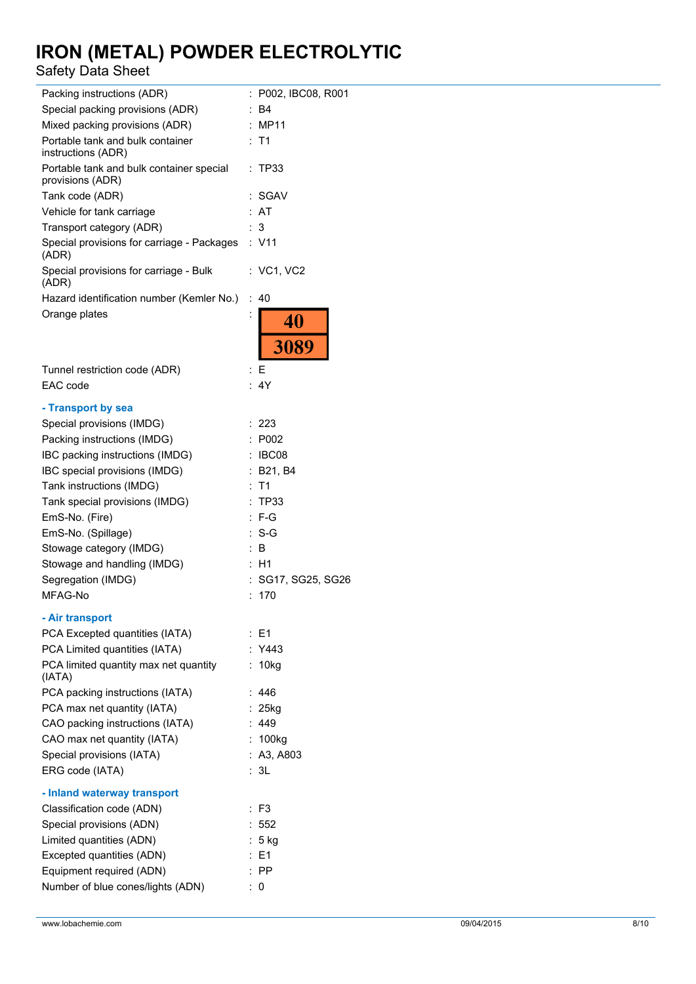### Safety Data Sheet

| Packing instructions (ADR)                                   | P002, IBC08, R001<br>÷. |
|--------------------------------------------------------------|-------------------------|
| Special packing provisions (ADR)                             | : B4                    |
| Mixed packing provisions (ADR)                               | : MP11                  |
| Portable tank and bulk container<br>instructions (ADR)       | : T1                    |
| Portable tank and bulk container special<br>provisions (ADR) | : TP33                  |
| Tank code (ADR)                                              | SGAV                    |
| Vehicle for tank carriage                                    | AT                      |
| Transport category (ADR)                                     | 3<br>÷.                 |
| Special provisions for carriage - Packages<br>(ADR)          | : V11                   |
| Special provisions for carriage - Bulk<br>(ADR)              | : VC1, VC2              |
| Hazard identification number (Kemler No.)                    | ÷.<br>40                |
| Orange plates                                                | $\vdots$<br>40<br>3089  |
|                                                              |                         |
| Tunnel restriction code (ADR)                                | : F                     |
| EAC code                                                     | : 4Y                    |
|                                                              |                         |
| - Transport by sea                                           |                         |
| Special provisions (IMDG)                                    | : 223                   |
| Packing instructions (IMDG)                                  | : P002                  |
| IBC packing instructions (IMDG)                              | : IBCO8                 |
| IBC special provisions (IMDG)                                | B21, B4                 |
| Tank instructions (IMDG)                                     | T <sub>1</sub><br>÷     |
| Tank special provisions (IMDG)                               | : TP33                  |
| EmS-No. (Fire)                                               | $: F-G$                 |
| EmS-No. (Spillage)                                           | $: S-G$                 |
| Stowage category (IMDG)                                      | B<br>÷                  |
| Stowage and handling (IMDG)                                  | ÷.<br>H1                |
| Segregation (IMDG)                                           | SG17, SG25, SG26        |
| MFAG-No                                                      | 170                     |
|                                                              |                         |
| - Air transport                                              |                         |
| PCA Excepted quantities (IATA)                               | : E1                    |
| PCA Limited quantities (IATA)                                | : Y443                  |
| PCA limited quantity max net quantity<br>(IATA)              | : 10kg                  |
| PCA packing instructions (IATA)                              | : 446                   |
| PCA max net quantity (IATA)                                  | $: 25$ kg               |
| CAO packing instructions (IATA)                              | : 449                   |
| CAO max net quantity (IATA)                                  | : 100kg                 |
| Special provisions (IATA)                                    | : A3, A803              |
| ERG code (IATA)                                              | : 3L                    |
| - Inland waterway transport                                  |                         |
| Classification code (ADN)                                    | $:$ F3                  |
| Special provisions (ADN)                                     | : 552                   |
| Limited quantities (ADN)                                     | $: 5$ kg                |
| Excepted quantities (ADN)                                    | : E1                    |
| Equipment required (ADN)                                     | $:$ PP                  |
| Number of blue cones/lights (ADN)                            | : 0                     |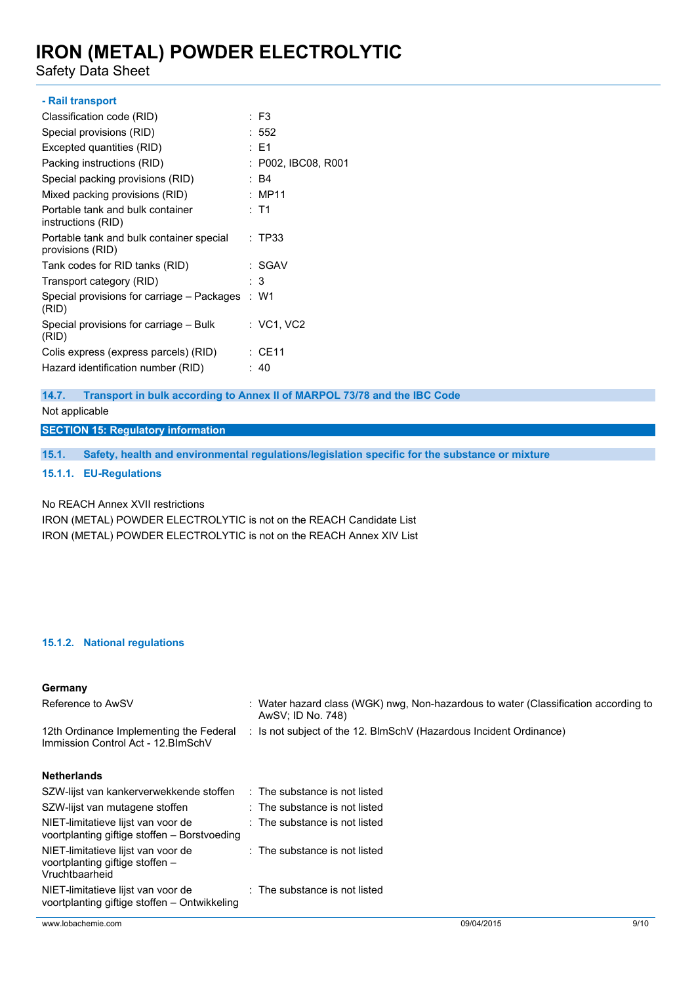Safety Data Sheet

#### **- Rail transport**

| Classification code (RID)                                    | : F3                |
|--------------------------------------------------------------|---------------------|
| Special provisions (RID)                                     | : 552               |
| Excepted quantities (RID)                                    | : E1                |
| Packing instructions (RID)                                   | : P002, IBC08, R001 |
| Special packing provisions (RID)                             | : B4                |
| Mixed packing provisions (RID)                               | : MP11              |
| Portable tank and bulk container<br>instructions (RID)       | : T1                |
| Portable tank and bulk container special<br>provisions (RID) | : TP33              |
| Tank codes for RID tanks (RID)                               | : SGAV              |
| Transport category (RID)                                     | : 3                 |
| Special provisions for carriage – Packages<br>(RID)          | : W1                |
| Special provisions for carriage – Bulk<br>(RID)              | : VC1, VC2          |
| Colis express (express parcels) (RID)                        | : CE11              |
| Hazard identification number (RID)                           | : 40                |

**14.7. Transport in bulk according to Annex II of MARPOL 73/78 and the IBC Code**

Not applicable

#### **SECTION 15: Regulatory information**

**15.1. Safety, health and environmental regulations/legislation specific for the substance or mixture**

#### **15.1.1. EU-Regulations**

No REACH Annex XVII restrictions

IRON (METAL) POWDER ELECTROLYTIC is not on the REACH Candidate List IRON (METAL) POWDER ELECTROLYTIC is not on the REACH Annex XIV List

#### **15.1.2. National regulations**

#### **Germany**

| Reference to AwSV                                                                       | : Water hazard class (WGK) nwg, Non-hazardous to water (Classification according to<br>AwSV; ID No. 748) |  |  |  |
|-----------------------------------------------------------------------------------------|----------------------------------------------------------------------------------------------------------|--|--|--|
| 12th Ordinance Implementing the Federal<br>Immission Control Act - 12. BlmSchV          | : Is not subject of the 12. BlmSchV (Hazardous Incident Ordinance)                                       |  |  |  |
| <b>Netherlands</b>                                                                      |                                                                                                          |  |  |  |
| SZW-lijst van kankerverwekkende stoffen                                                 | $\therefore$ The substance is not listed                                                                 |  |  |  |
| SZW-lijst van mutagene stoffen                                                          | $\therefore$ The substance is not listed                                                                 |  |  |  |
| NIET-limitatieve lijst van voor de<br>voortplanting giftige stoffen - Borstvoeding      | $\therefore$ The substance is not listed                                                                 |  |  |  |
| NIET-limitatieve lijst van voor de<br>voortplanting giftige stoffen -<br>Vruchtbaarheid | $\therefore$ The substance is not listed                                                                 |  |  |  |
| NIET-limitatieve lijst van voor de<br>voortplanting giftige stoffen - Ontwikkeling      | : The substance is not listed                                                                            |  |  |  |